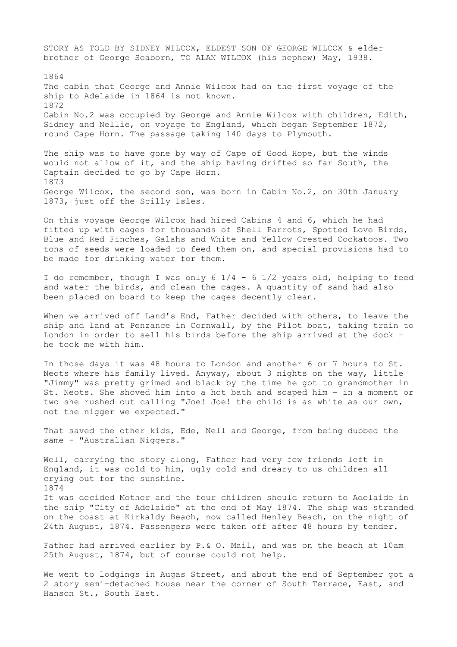STORY AS TOLD BY SIDNEY WILCOX, ELDEST SON OF GEORGE WILCOX & elder brother of George Seaborn, TO ALAN WILCOX (his nephew) May, 1938. 1864 The cabin that George and Annie Wilcox had on the first voyage of the ship to Adelaide in 1864 is not known. 1872 Cabin No.2 was occupied by George and Annie Wilcox with children, Edith, Sidney and Nellie, on voyage to England, which began September 1872, round Cape Horn. The passage taking 140 days to Plymouth.

The ship was to have gone by way of Cape of Good Hope, but the winds would not allow of it, and the ship having drifted so far South, the Captain decided to go by Cape Horn. 1873 George Wilcox, the second son, was born in Cabin No.2, on 30th January 1873, just off the Scilly Isles.

On this voyage George Wilcox had hired Cabins 4 and 6, which he had fitted up with cages for thousands of Shell Parrots, Spotted Love Birds, Blue and Red Finches, Galahs and White and Yellow Crested Cockatoos. Two tons of seeds were loaded to feed them on, and special provisions had to be made for drinking water for them.

I do remember, though I was only 6 1/4 - 6 1/2 years old, helping to feed and water the birds, and clean the cages. A quantity of sand had also been placed on board to keep the cages decently clean.

When we arrived off Land's End, Father decided with others, to leave the ship and land at Penzance in Cornwall, by the Pilot boat, taking train to London in order to sell his birds before the ship arrived at the dock he took me with him.

In those days it was 48 hours to London and another 6 or 7 hours to St. Neots where his family lived. Anyway, about 3 nights on the way, little "Jimmy" was pretty grimed and black by the time he got to grandmother in St. Neots. She shoved him into a hot bath and soaped him - in a moment or two she rushed out calling "Joe! Joe! the child is as white as our own, not the nigger we expected."

That saved the other kids, Ede, Nell and George, from being dubbed the same - "Australian Niggers."

Well, carrying the story along, Father had very few friends left in England, it was cold to him, ugly cold and dreary to us children all crying out for the sunshine. 1874 It was decided Mother and the four children should return to Adelaide in the ship "City of Adelaide" at the end of May 1874. The ship was stranded on the coast at Kirkaldy Beach, now called Henley Beach, on the night of 24th August, 1874. Passengers were taken off after 48 hours by tender.

Father had arrived earlier by P.& O. Mail, and was on the beach at 10am 25th August, 1874, but of course could not help.

We went to lodgings in Augas Street, and about the end of September got a 2 story semi-detached house near the corner of South Terrace, East, and Hanson St., South East.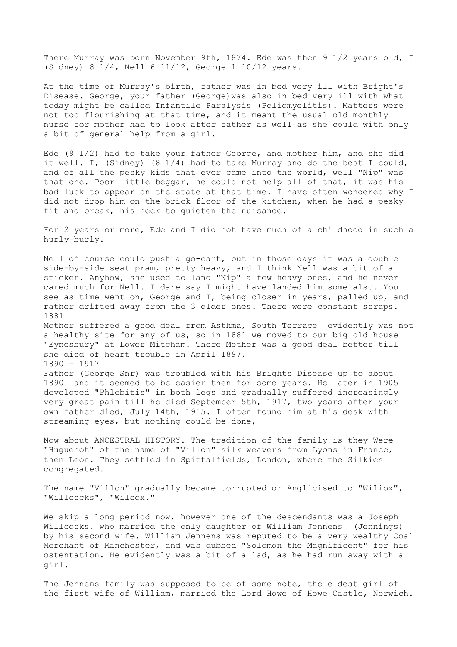There Murray was born November 9th, 1874. Ede was then 9 1/2 years old, I (Sidney) 8 1/4, Nell 6 11/12, George 1 10/12 years.

At the time of Murray's birth, father was in bed very ill with Bright's Disease. George, your father (George)was also in bed very ill with what today might be called Infantile Paralysis (Poliomyelitis). Matters were not too flourishing at that time, and it meant the usual old monthly nurse for mother had to look after father as well as she could with only a bit of general help from a girl.

Ede (9 1/2) had to take your father George, and mother him, and she did it well. I, (Sidney) (8 1/4) had to take Murray and do the best I could, and of all the pesky kids that ever came into the world, well "Nip" was that one. Poor little beggar, he could not help all of that, it was his bad luck to appear on the state at that time. I have often wondered why I did not drop him on the brick floor of the kitchen, when he had a pesky fit and break, his neck to quieten the nuisance.

For 2 years or more, Ede and I did not have much of a childhood in such a hurly-burly.

Nell of course could push a go-cart, but in those days it was a double side-by-side seat pram, pretty heavy, and I think Nell was a bit of a sticker. Anyhow, she used to land "Nip" a few heavy ones, and he never cared much for Nell. I dare say I might have landed him some also. You see as time went on, George and I, being closer in years, palled up, and rather drifted away from the 3 older ones. There were constant scraps. 1881 Mother suffered a good deal from Asthma, South Terrace evidently was not a healthy site for any of us, so in 1881 we moved to our big old house "Eynesbury" at Lower Mitcham. There Mother was a good deal better till she died of heart trouble in April 1897. 1890 - 1917 Father (George Snr) was troubled with his Brights Disease up to about 1890 and it seemed to be easier then for some years. He later in 1905 developed "Phlebitis" in both legs and gradually suffered increasingly very great pain till he died September 5th, 1917, two years after your own father died, July 14th, 1915. I often found him at his desk with

Now about ANCESTRAL HISTORY. The tradition of the family is they Were "Huguenot" of the name of "Villon" silk weavers from Lyons in France, then Leon. They settled in Spittalfields, London, where the Silkies congregated.

streaming eyes, but nothing could be done,

The name "Villon" gradually became corrupted or Anglicised to "Wiliox", "Willcocks", "Wilcox."

We skip a long period now, however one of the descendants was a Joseph Willcocks, who married the only daughter of William Jennens (Jennings) by his second wife. William Jennens was reputed to be a very wealthy Coal Merchant of Manchester, and was dubbed "Solomon the Magnificent" for his ostentation. He evidently was a bit of a lad, as he had run away with a girl.

The Jennens family was supposed to be of some note, the eldest girl of the first wife of William, married the Lord Howe of Howe Castle, Norwich.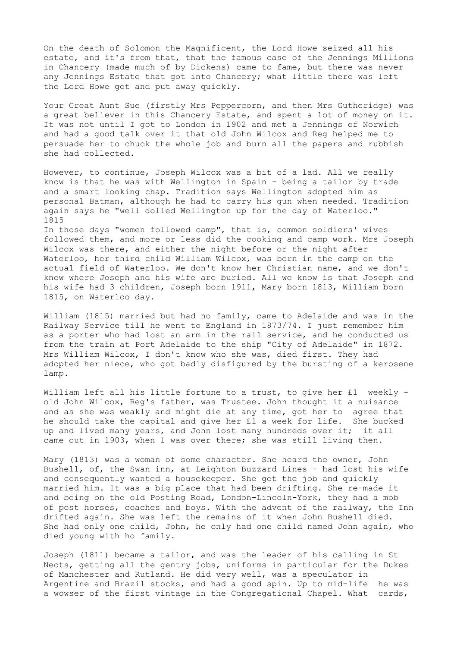On the death of Solomon the Magnificent, the Lord Howe seized all his estate, and it's from that, that the famous case of the Jennings Millions in Chancery (made much of by Dickens) came to fame, but there was never any Jennings Estate that got into Chancery; what little there was left the Lord Howe got and put away quickly.

Your Great Aunt Sue (firstly Mrs Peppercorn, and then Mrs Gutheridge) was a great believer in this Chancery Estate, and spent a lot of money on it. It was not until I got to London in 1902 and met a Jennings of Norwich and had a good talk over it that old John Wilcox and Reg helped me to persuade her to chuck the whole job and burn all the papers and rubbish she had collected.

However, to continue, Joseph Wilcox was a bit of a lad. All we really know is that he was with Wellington in Spain - being a tailor by trade and a smart looking chap. Tradition says Wellington adopted him as personal Batman, although he had to carry his gun when needed. Tradition again says he "well dolled Wellington up for the day of Waterloo." 1815 In those days "women followed camp", that is, common soldiers' wives

followed them, and more or less did the cooking and camp work. Mrs Joseph Wilcox was there, and either the night before or the night after Waterloo, her third child William Wilcox, was born in the camp on the actual field of Waterloo. We don't know her Christian name, and we don't know where Joseph and his wife are buried. All we know is that Joseph and his wife had 3 children, Joseph born 1911, Mary born 1813, William born 1815, on Waterloo day.

William (1815) married but had no family, came to Adelaide and was in the Railway Service till he went to England in 1873/74. I just remember him as a porter who had lost an arm in the rail service, and he conducted us from the train at Port Adelaide to the ship "City of Adelaide" in 1872. Mrs William Wilcox, I don't know who she was, died first. They had adopted her niece, who got badly disfigured by the bursting of a kerosene lamp.

William left all his little fortune to a trust, to give her £1 weekly old John Wilcox, Reg's father, was Trustee. John thought it a nuisance and as she was weakly and might die at any time, got her to agree that he should take the capital and give her £1 a week for life. She bucked up and lived many years, and John lost many hundreds over it; it all came out in 1903, when I was over there; she was still living then.

Mary (1813) was a woman of some character. She heard the owner, John Bushell, of, the Swan inn, at Leighton Buzzard Lines - had lost his wife and consequently wanted a housekeeper. She got the job and quickly married him. It was a big place that had been drifting. She re-made it and being on the old Posting Road, London-Lincoln-York, they had a mob of post horses, coaches and boys. With the advent of the railway, the Inn drifted again. She was left the remains of it when John Bushell died. She had only one child, John, he only had one child named John again, who died young with ho family.

Joseph (1811) became a tailor, and was the leader of his calling in St Neots, getting all the gentry jobs, uniforms in particular for the Dukes of Manchester and Rutland. He did very well, was a speculator in Argentine and Brazil stocks, and had a good spin. Up to mid-life he was a wowser of the first vintage in the Congregational Chapel. What cards,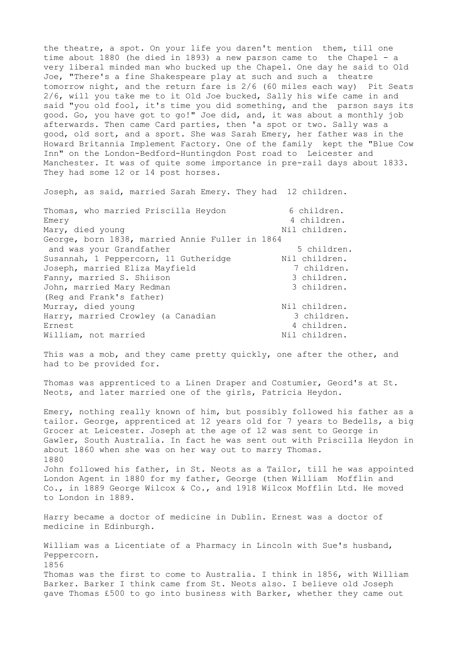the theatre, a spot. On your life you daren't mention them, till one time about 1880 (he died in 1893) a new parson came to the Chapel - a very liberal minded man who bucked up the Chapel. One day he said to Old Joe, "There's a fine Shakespeare play at such and such a theatre tomorrow night, and the return fare is 2/6 (60 miles each way) Pit Seats 2/6, will you take me to it Old Joe bucked, Sally his wife came in and said "you old fool, it's time you did something, and the parson says its good. Go, you have got to go!" Joe did, and, it was about a monthly job afterwards. Then came Card parties, then 'a spot or two. Sally was a good, old sort, and a sport. She was Sarah Emery, her father was in the Howard Britannia Implement Factory. One of the family kept the "Blue Cow Inn" on the London-Bedford-Huntingdon Post road to Leicester and Manchester. It was of quite some importance in pre-rail days about 1833. They had some 12 or 14 post horses.

Joseph, as said, married Sarah Emery. They had 12 children.

| Thomas, who married Priscilla Heydon            | 6 children.   |
|-------------------------------------------------|---------------|
| Emery                                           | 4 children.   |
| Mary, died young                                | Nil children. |
| George, born 1838, married Annie Fuller in 1864 |               |
| and was your Grandfather                        | 5 children.   |
| Susannah, 1 Peppercorn, 11 Gutheridge           | Nil children. |
| Joseph, married Eliza Mayfield                  | 7 children.   |
| Fanny, married S. Shiison                       | 3 children.   |
| John, married Mary Redman                       | 3 children.   |
| (Req and Frank's father)                        |               |
| Murray, died young                              | Nil children. |
| Harry, married Crowley (a Canadian              | 3 children.   |
| Ernest                                          | 4 children.   |
| William, not married                            | Nil children. |

This was a mob, and they came pretty quickly, one after the other, and had to be provided for.

Thomas was apprenticed to a Linen Draper and Costumier, Geord's at St. Neots, and later married one of the girls, Patricia Heydon.

Emery, nothing really known of him, but possibly followed his father as a tailor. George, apprenticed at 12 years old for 7 years to Bedells, a big Grocer at Leicester. Joseph at the age of 12 was sent to George in Gawler, South Australia. In fact he was sent out with Priscilla Heydon in about 1860 when she was on her way out to marry Thomas. 1880 John followed his father, in St. Neots as a Tailor, till he was appointed London Agent in 1880 for my father, George (then William Mofflin and Co., in 1889 George Wilcox & Co., and 1918 Wilcox Mofflin Ltd. He moved to London in 1889.

Harry became a doctor of medicine in Dublin. Ernest was a doctor of medicine in Edinburgh.

William was a Licentiate of a Pharmacy in Lincoln with Sue's husband, Peppercorn. 1856 Thomas was the first to come to Australia. I think in 1856, with William Barker. Barker I think came from St. Neots also. I believe old Joseph gave Thomas £500 to go into business with Barker, whether they came out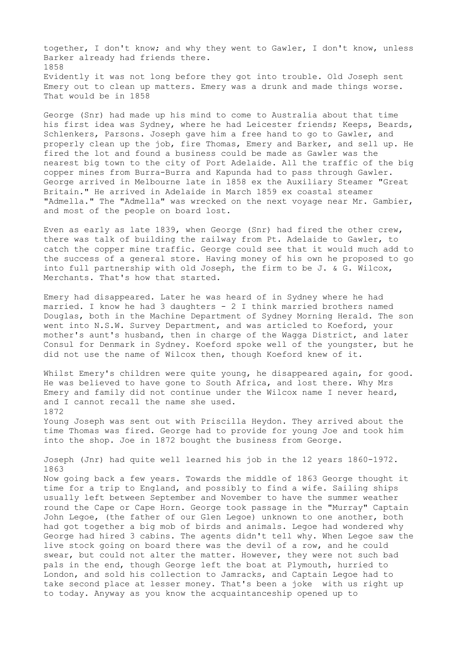together, I don't know; and why they went to Gawler, I don't know, unless Barker already had friends there. 1858 Evidently it was not long before they got into trouble. Old Joseph sent Emery out to clean up matters. Emery was a drunk and made things worse. That would be in 1858

George (Snr) had made up his mind to come to Australia about that time his first idea was Sydney, where he had Leicester friends; Keeps, Beards, Schlenkers, Parsons. Joseph gave him a free hand to go to Gawler, and properly clean up the job, fire Thomas, Emery and Barker, and sell up. He fired the lot and found a business could be made as Gawler was the nearest big town to the city of Port Adelaide. All the traffic of the big copper mines from Burra-Burra and Kapunda had to pass through Gawler. George arrived in Melbourne late in 1858 ex the Auxiliary Steamer "Great Britain." He arrived in Adelaide in March 1859 ex coastal steamer "Admella." The "Admella" was wrecked on the next voyage near Mr. Gambier, and most of the people on board lost.

Even as early as late 1839, when George (Snr) had fired the other crew, there was talk of building the railway from Pt. Adelaide to Gawler, to catch the copper mine traffic. George could see that it would much add to the success of a general store. Having money of his own he proposed to go into full partnership with old Joseph, the firm to be J. & G. Wilcox, Merchants. That's how that started.

Emery had disappeared. Later he was heard of in Sydney where he had married. I know he had 3 daughters - 2 I think married brothers named Douglas, both in the Machine Department of Sydney Morning Herald. The son went into N.S.W. Survey Department, and was articled to Koeford, your mother's aunt's husband, then in charge of the Wagga District, and later Consul for Denmark in Sydney. Koeford spoke well of the youngster, but he did not use the name of Wilcox then, though Koeford knew of it.

Whilst Emery's children were quite young, he disappeared again, for good. He was believed to have gone to South Africa, and lost there. Why Mrs Emery and family did not continue under the Wilcox name I never heard, and I cannot recall the name she used. 1872

Young Joseph was sent out with Priscilla Heydon. They arrived about the time Thomas was fired. George had to provide for young Joe and took him into the shop. Joe in 1872 bought the business from George.

Joseph (Jnr) had quite well learned his job in the 12 years 1860-1972. 1863 Now going back a few years. Towards the middle of 1863 George thought it

time for a trip to England, and possibly to find a wife. Sailing ships usually left between September and November to have the summer weather round the Cape or Cape Horn. George took passage in the "Murray" Captain John Legoe, (the father of our Glen Legoe) unknown to one another, both had got together a big mob of birds and animals. Legoe had wondered why George had hired 3 cabins. The agents didn't tell why. When Legoe saw the live stock going on board there was the devil of a row, and he could swear, but could not alter the matter. However, they were not such bad pals in the end, though George left the boat at Plymouth, hurried to London, and sold his collection to Jamracks, and Captain Legoe had to take second place at lesser money. That's been a joke with us right up to today. Anyway as you know the acquaintanceship opened up to